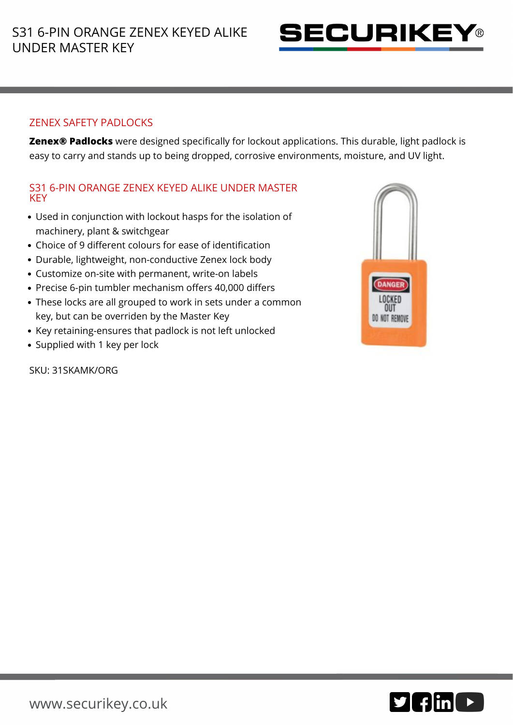

## ZENEX SAFETY PADLOCKS

**Zenex® Padlocks** were designed specifically for lockout applications. This durable, light padlock is easy to carry and stands up to being dropped, corrosive environments, moisture, and UV light.

## S31 6-PIN ORANGE ZENEX KEYED ALIKE UNDER MASTER **KEY**

- Used in conjunction with lockout hasps for the isolation of machinery, plant & switchgear
- Choice of 9 different colours for ease of identification
- Durable, lightweight, non-conductive Zenex lock body
- Customize on-site with permanent, write-on labels
- Precise 6-pin tumbler mechanism offers 40,000 differs
- These locks are all grouped to work in sets under a common key, but can be overriden by the Master Key
- Key retaining-ensures that padlock is not left unlocked
- Supplied with 1 key per lock

SKU: 31SKAMK/ORG



 $\Psi$  fin  $\rightarrow$ 

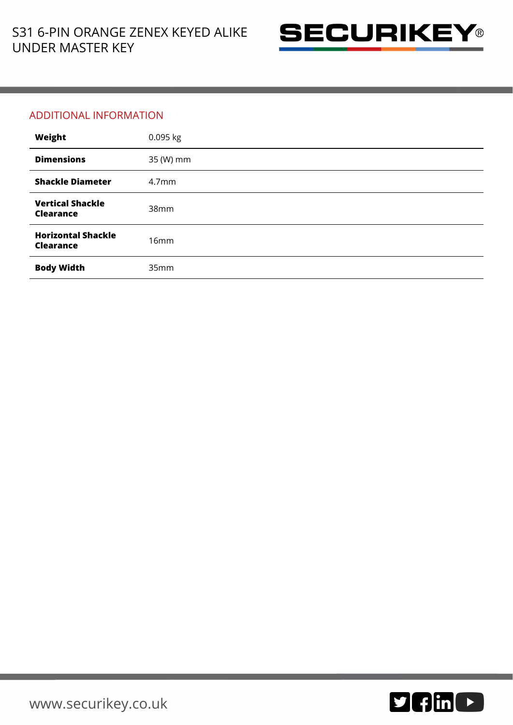

## ADDITIONAL INFORMATION

| Weight                                        | 0.095 kg          |
|-----------------------------------------------|-------------------|
| <b>Dimensions</b>                             | 35 (W) mm         |
| <b>Shackle Diameter</b>                       | 4.7 <sub>mm</sub> |
| <b>Vertical Shackle</b><br><b>Clearance</b>   | 38mm              |
| <b>Horizontal Shackle</b><br><b>Clearance</b> | 16mm              |
| <b>Body Width</b>                             | 35mm              |

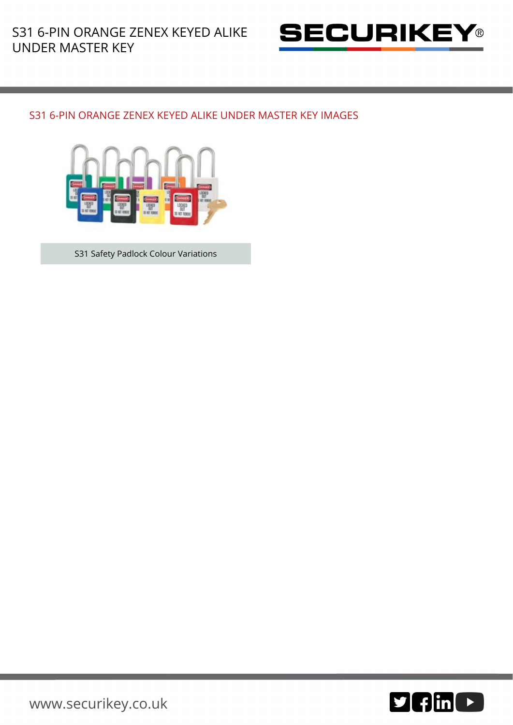

## S31 6-PIN ORANGE ZENEX KEYED ALIKE UNDER MASTER KEY IMAGES



S31 Safety Padlock Colour Variations